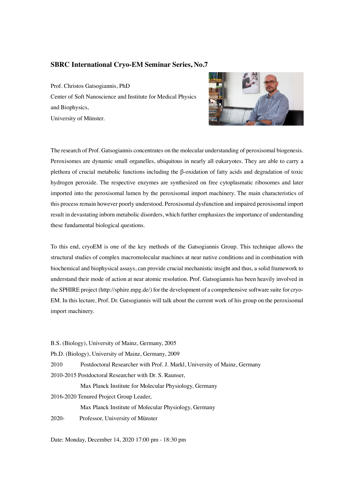## **SBRC International Cryo-EM Seminar Series, No.7**

Prof. Christos Gatsogiannis, PhD Center of Soft Nanoscience and Institute for Medical Physics and Biophysics, University of Münster.



The research of Prof. Gatsogiannis concentrates on the molecular understanding of peroxisomal biogenesis. Peroxisomes are dynamic small organelles, ubiquitous in nearly all eukaryotes. They are able to carry a plethora of crucial metabolic functions including the β-oxidation of fatty acids and degradation of toxic hydrogen peroxide. The respective enzymes are synthesized on free cytoplasmatic ribosomes and later imported into the peroxisomal lumen by the peroxisomal import machinery. The main characteristics of this process remain however poorly understood. Peroxisomal dysfunction and impaired peroxisomal import result in devastating inborn metabolic disorders, which further emphasizes the importance of understanding these fundamental biological questions.

To this end, cryoEM is one of the key methods of the Gatsogiannis Group. This technique allows the structural studies of complex macromolecular machines at near native conditions and in combination with biochemical and biophysical assays, can provide crucial mechanistic insight and thus, a solid framework to understand their mode of action at near atomic resolution. Prof. Gatsogiannis has been heavily involved in the SPHIRE project (http://sphire.mpg.de/) for the development of a comprehensive software suite for cryo-EM. In this lecture, Prof. Dr. Gatsogiannis will talk about the current work of his group on the peroxisomal import machinery.

B.S. (Biology), University of Mainz, Germany, 2005

Ph.D. (Biology), University of Mainz, Germany, 2009

2010 Postdoctoral Researcher with Prof. J. Markl, University of Mainz, Germany

2010-2015 Postdoctoral Researcher with Dr. S. Raunser,

Max Planck Institute for Molecular Physiology, Germany

2016-2020 Tenured Project Group Leader,

Max Planck Institute of Molecular Physiology, Germany

2020- Professor, University of Münster

Date: Monday, December 14, 2020 17:00 pm - 18:30 pm